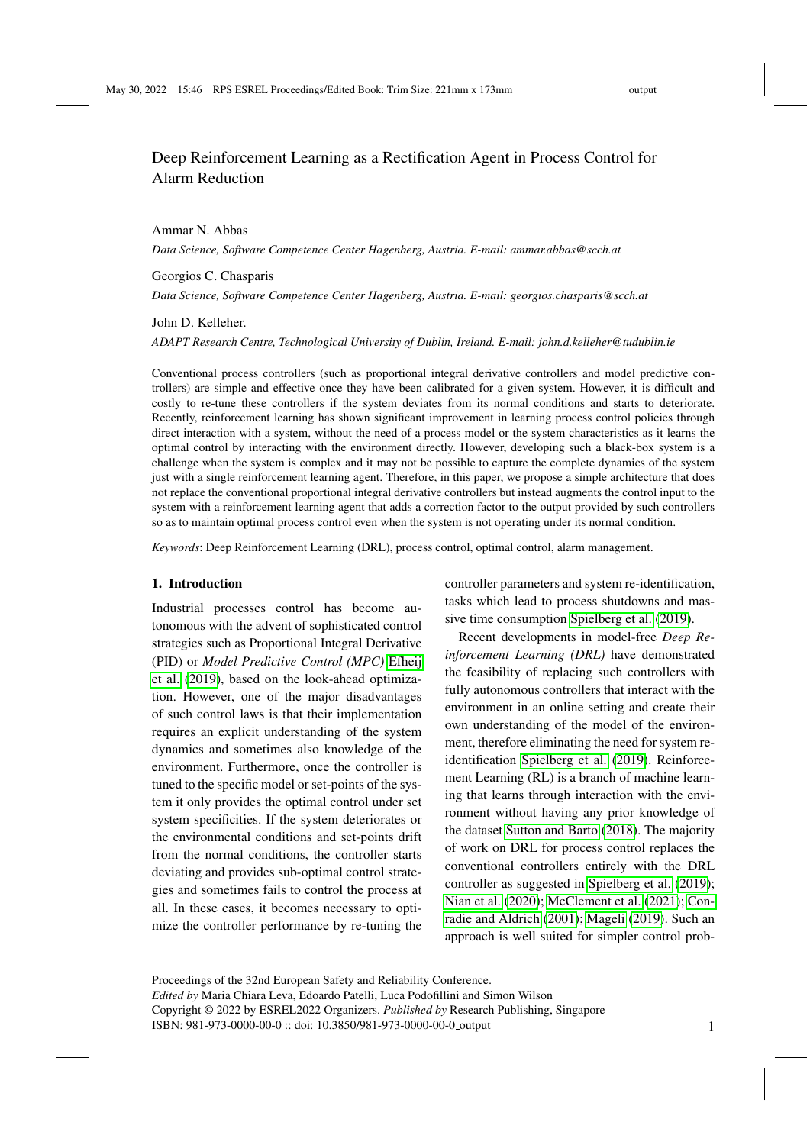# Deep Reinforcement Learning as a Rectification Agent in Process Control for Alarm Reduction

## Ammar N. Abbas

*Data Science, Software Competence Center Hagenberg, Austria. E-mail: ammar.abbas@scch.at*

#### Georgios C. Chasparis

*Data Science, Software Competence Center Hagenberg, Austria. E-mail: georgios.chasparis@scch.at*

#### John D. Kelleher.

#### *ADAPT Research Centre, Technological University of Dublin, Ireland. E-mail: john.d.kelleher@tudublin.ie*

Conventional process controllers (such as proportional integral derivative controllers and model predictive controllers) are simple and effective once they have been calibrated for a given system. However, it is difficult and costly to re-tune these controllers if the system deviates from its normal conditions and starts to deteriorate. Recently, reinforcement learning has shown significant improvement in learning process control policies through direct interaction with a system, without the need of a process model or the system characteristics as it learns the optimal control by interacting with the environment directly. However, developing such a black-box system is a challenge when the system is complex and it may not be possible to capture the complete dynamics of the system just with a single reinforcement learning agent. Therefore, in this paper, we propose a simple architecture that does not replace the conventional proportional integral derivative controllers but instead augments the control input to the system with a reinforcement learning agent that adds a correction factor to the output provided by such controllers so as to maintain optimal process control even when the system is not operating under its normal condition.

*Keywords*: Deep Reinforcement Learning (DRL), process control, optimal control, alarm management.

### 1. Introduction

Industrial processes control has become autonomous with the advent of sophisticated control strategies such as Proportional Integral Derivative (PID) or *Model Predictive Control (MPC)* [Efheij](#page-3-0) [et al.](#page-3-0) [\(2019\)](#page-3-0), based on the look-ahead optimization. However, one of the major disadvantages of such control laws is that their implementation requires an explicit understanding of the system dynamics and sometimes also knowledge of the environment. Furthermore, once the controller is tuned to the specific model or set-points of the system it only provides the optimal control under set system specificities. If the system deteriorates or the environmental conditions and set-points drift from the normal conditions, the controller starts deviating and provides sub-optimal control strategies and sometimes fails to control the process at all. In these cases, it becomes necessary to optimize the controller performance by re-tuning the

controller parameters and system re-identification, tasks which lead to process shutdowns and massive time consumption [Spielberg et al.](#page-4-0) [\(2019\)](#page-4-0).

Recent developments in model-free *Deep Reinforcement Learning (DRL)* have demonstrated the feasibility of replacing such controllers with fully autonomous controllers that interact with the environment in an online setting and create their own understanding of the model of the environment, therefore eliminating the need for system reidentification [Spielberg et al.](#page-4-0) [\(2019\)](#page-4-0). Reinforcement Learning (RL) is a branch of machine learning that learns through interaction with the environment without having any prior knowledge of the dataset [Sutton and Barto](#page-4-1) [\(2018\)](#page-4-1). The majority of work on DRL for process control replaces the conventional controllers entirely with the DRL controller as suggested in [Spielberg et al.](#page-4-0) [\(2019\)](#page-4-0); [Nian et al.](#page-4-2) [\(2020\)](#page-4-2); [McClement et al.](#page-4-3) [\(2021\)](#page-4-3); [Con](#page-3-1)[radie and Aldrich](#page-3-1) [\(2001\)](#page-3-1); [Mageli](#page-4-4) [\(2019\)](#page-4-4). Such an approach is well suited for simpler control prob-

Proceedings of the 32nd European Safety and Reliability Conference.

*Edited by* Maria Chiara Leva, Edoardo Patelli, Luca Podofillini and Simon Wilson

Copyright © 2022 by ESREL2022 Organizers. *Published by* Research Publishing, Singapore

ISBN: 981-973-0000-00-0 :: doi: 10.3850/981-973-0000-00-0 output 1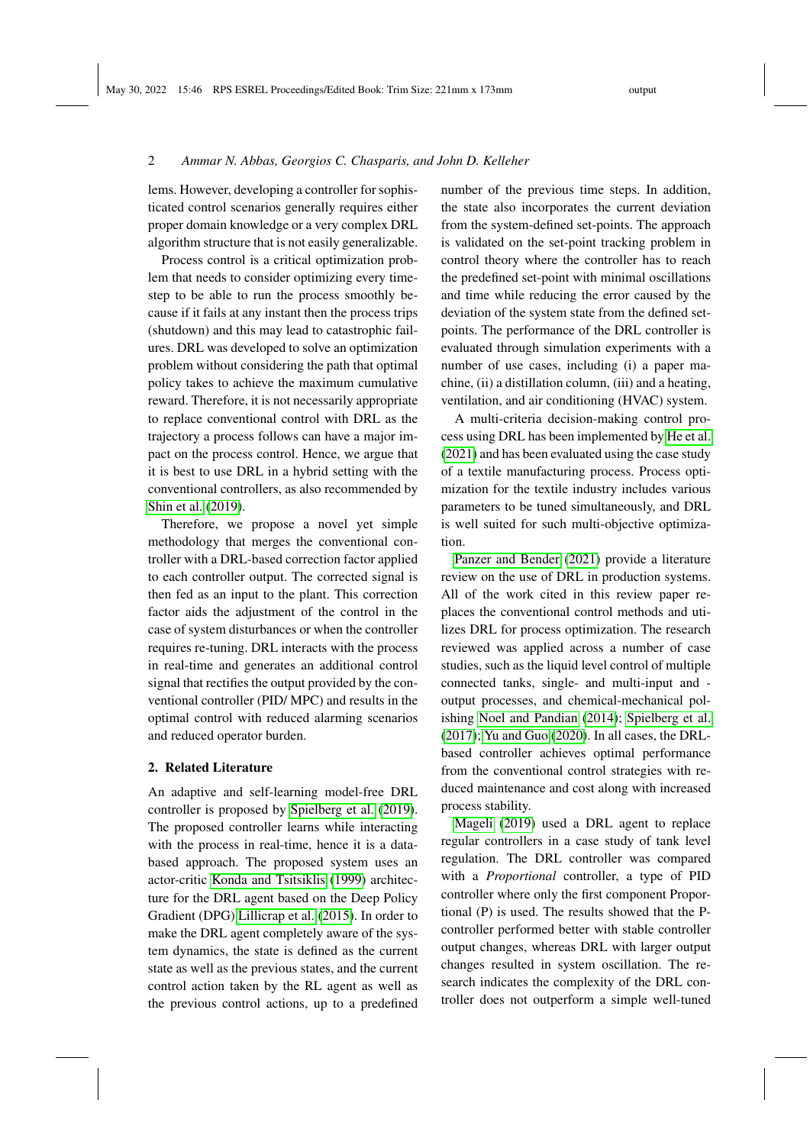## 2 *Ammar N. Abbas, Georgios C. Chasparis, and John D. Kelleher*

lems. However, developing a controller for sophisticated control scenarios generally requires either proper domain knowledge or a very complex DRL algorithm structure that is not easily generalizable.

Process control is a critical optimization problem that needs to consider optimizing every timestep to be able to run the process smoothly because if it fails at any instant then the process trips (shutdown) and this may lead to catastrophic failures. DRL was developed to solve an optimization problem without considering the path that optimal policy takes to achieve the maximum cumulative reward. Therefore, it is not necessarily appropriate to replace conventional control with DRL as the trajectory a process follows can have a major impact on the process control. Hence, we argue that it is best to use DRL in a hybrid setting with the conventional controllers, as also recommended by [Shin et al.](#page-4-5) [\(2019\)](#page-4-5).

Therefore, we propose a novel yet simple methodology that merges the conventional controller with a DRL-based correction factor applied to each controller output. The corrected signal is then fed as an input to the plant. This correction factor aids the adjustment of the control in the case of system disturbances or when the controller requires re-tuning. DRL interacts with the process in real-time and generates an additional control signal that rectifies the output provided by the conventional controller (PID/ MPC) and results in the optimal control with reduced alarming scenarios and reduced operator burden.

## 2. Related Literature

An adaptive and self-learning model-free DRL controller is proposed by [Spielberg et al.](#page-4-0) [\(2019\)](#page-4-0). The proposed controller learns while interacting with the process in real-time, hence it is a databased approach. The proposed system uses an actor-critic [Konda and Tsitsiklis](#page-3-2) [\(1999\)](#page-3-2) architecture for the DRL agent based on the Deep Policy Gradient (DPG) [Lillicrap et al.](#page-4-6) [\(2015\)](#page-4-6). In order to make the DRL agent completely aware of the system dynamics, the state is defined as the current state as well as the previous states, and the current control action taken by the RL agent as well as the previous control actions, up to a predefined

number of the previous time steps. In addition, the state also incorporates the current deviation from the system-defined set-points. The approach is validated on the set-point tracking problem in control theory where the controller has to reach the predefined set-point with minimal oscillations and time while reducing the error caused by the deviation of the system state from the defined setpoints. The performance of the DRL controller is evaluated through simulation experiments with a number of use cases, including (i) a paper machine, (ii) a distillation column, (iii) and a heating, ventilation, and air conditioning (HVAC) system.

A multi-criteria decision-making control process using DRL has been implemented by [He et al.](#page-3-3) [\(2021\)](#page-3-3) and has been evaluated using the case study of a textile manufacturing process. Process optimization for the textile industry includes various parameters to be tuned simultaneously, and DRL is well suited for such multi-objective optimization.

[Panzer and Bender](#page-4-7) [\(2021\)](#page-4-7) provide a literature review on the use of DRL in production systems. All of the work cited in this review paper replaces the conventional control methods and utilizes DRL for process optimization. The research reviewed was applied across a number of case studies, such as the liquid level control of multiple connected tanks, single- and multi-input and output processes, and chemical-mechanical polishing [Noel and Pandian](#page-4-8) [\(2014\)](#page-4-8); [Spielberg et al.](#page-4-9) [\(2017\)](#page-4-9); [Yu and Guo](#page-4-10) [\(2020\)](#page-4-10). In all cases, the DRLbased controller achieves optimal performance from the conventional control strategies with reduced maintenance and cost along with increased process stability.

[Mageli](#page-4-4) [\(2019\)](#page-4-4) used a DRL agent to replace regular controllers in a case study of tank level regulation. The DRL controller was compared with a *Proportional* controller, a type of PID controller where only the first component Proportional (P) is used. The results showed that the Pcontroller performed better with stable controller output changes, whereas DRL with larger output changes resulted in system oscillation. The research indicates the complexity of the DRL controller does not outperform a simple well-tuned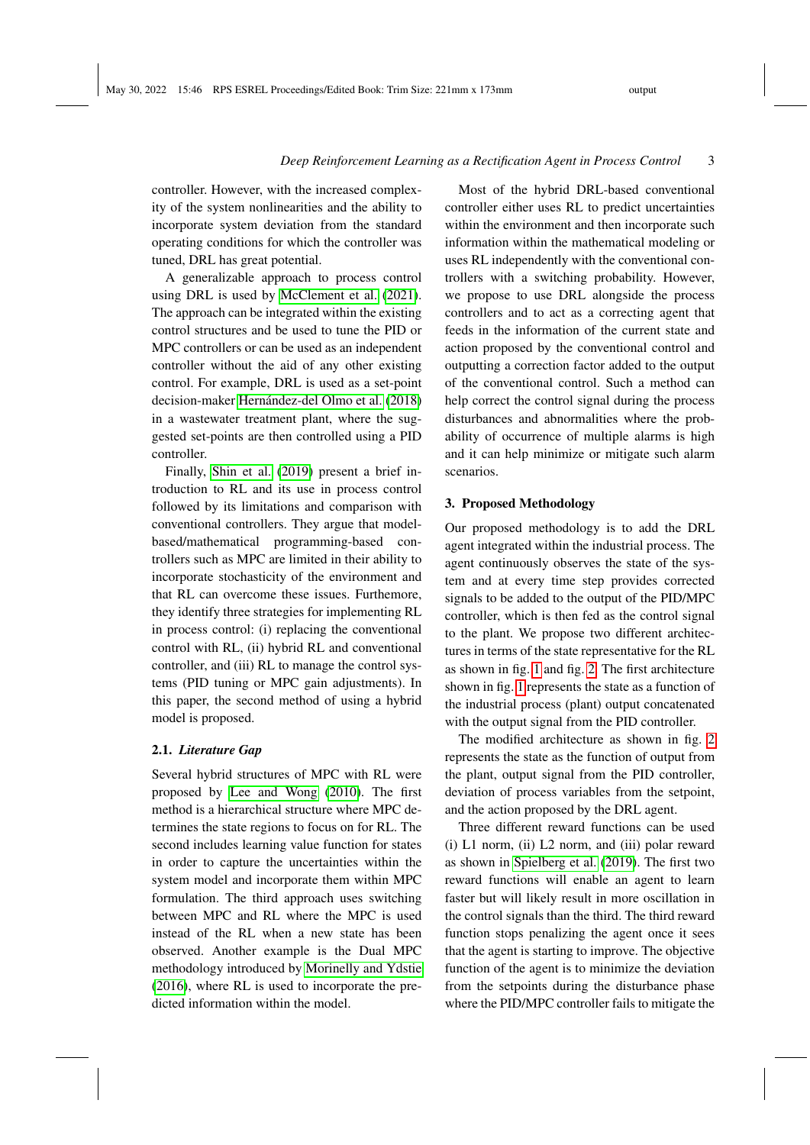## *Deep Reinforcement Learning as a Rectification Agent in Process Control* 3

controller. However, with the increased complexity of the system nonlinearities and the ability to incorporate system deviation from the standard operating conditions for which the controller was tuned, DRL has great potential.

A generalizable approach to process control using DRL is used by [McClement et al.](#page-4-3) [\(2021\)](#page-4-3). The approach can be integrated within the existing control structures and be used to tune the PID or MPC controllers or can be used as an independent controller without the aid of any other existing control. For example, DRL is used as a set-point decision-maker Hernández-del Olmo et al. [\(2018\)](#page-3-4) in a wastewater treatment plant, where the suggested set-points are then controlled using a PID controller.

Finally, [Shin et al.](#page-4-5) [\(2019\)](#page-4-5) present a brief introduction to RL and its use in process control followed by its limitations and comparison with conventional controllers. They argue that modelbased/mathematical programming-based controllers such as MPC are limited in their ability to incorporate stochasticity of the environment and that RL can overcome these issues. Furthemore, they identify three strategies for implementing RL in process control: (i) replacing the conventional control with RL, (ii) hybrid RL and conventional controller, and (iii) RL to manage the control systems (PID tuning or MPC gain adjustments). In this paper, the second method of using a hybrid model is proposed.

#### 2.1. *Literature Gap*

Several hybrid structures of MPC with RL were proposed by [Lee and Wong](#page-4-11) [\(2010\)](#page-4-11). The first method is a hierarchical structure where MPC determines the state regions to focus on for RL. The second includes learning value function for states in order to capture the uncertainties within the system model and incorporate them within MPC formulation. The third approach uses switching between MPC and RL where the MPC is used instead of the RL when a new state has been observed. Another example is the Dual MPC methodology introduced by [Morinelly and Ydstie](#page-4-12) [\(2016\)](#page-4-12), where RL is used to incorporate the predicted information within the model.

Most of the hybrid DRL-based conventional controller either uses RL to predict uncertainties within the environment and then incorporate such information within the mathematical modeling or uses RL independently with the conventional controllers with a switching probability. However, we propose to use DRL alongside the process controllers and to act as a correcting agent that feeds in the information of the current state and action proposed by the conventional control and outputting a correction factor added to the output of the conventional control. Such a method can help correct the control signal during the process disturbances and abnormalities where the probability of occurrence of multiple alarms is high and it can help minimize or mitigate such alarm scenarios.

## 3. Proposed Methodology

Our proposed methodology is to add the DRL agent integrated within the industrial process. The agent continuously observes the state of the system and at every time step provides corrected signals to be added to the output of the PID/MPC controller, which is then fed as the control signal to the plant. We propose two different architectures in terms of the state representative for the RL as shown in fig. [1](#page-3-5) and fig. [2.](#page-3-6) The first architecture shown in fig. [1](#page-3-5) represents the state as a function of the industrial process (plant) output concatenated with the output signal from the PID controller.

The modified architecture as shown in fig. [2](#page-3-6) represents the state as the function of output from the plant, output signal from the PID controller, deviation of process variables from the setpoint, and the action proposed by the DRL agent.

Three different reward functions can be used (i) L1 norm, (ii) L2 norm, and (iii) polar reward as shown in [Spielberg et al.](#page-4-0) [\(2019\)](#page-4-0). The first two reward functions will enable an agent to learn faster but will likely result in more oscillation in the control signals than the third. The third reward function stops penalizing the agent once it sees that the agent is starting to improve. The objective function of the agent is to minimize the deviation from the setpoints during the disturbance phase where the PID/MPC controller fails to mitigate the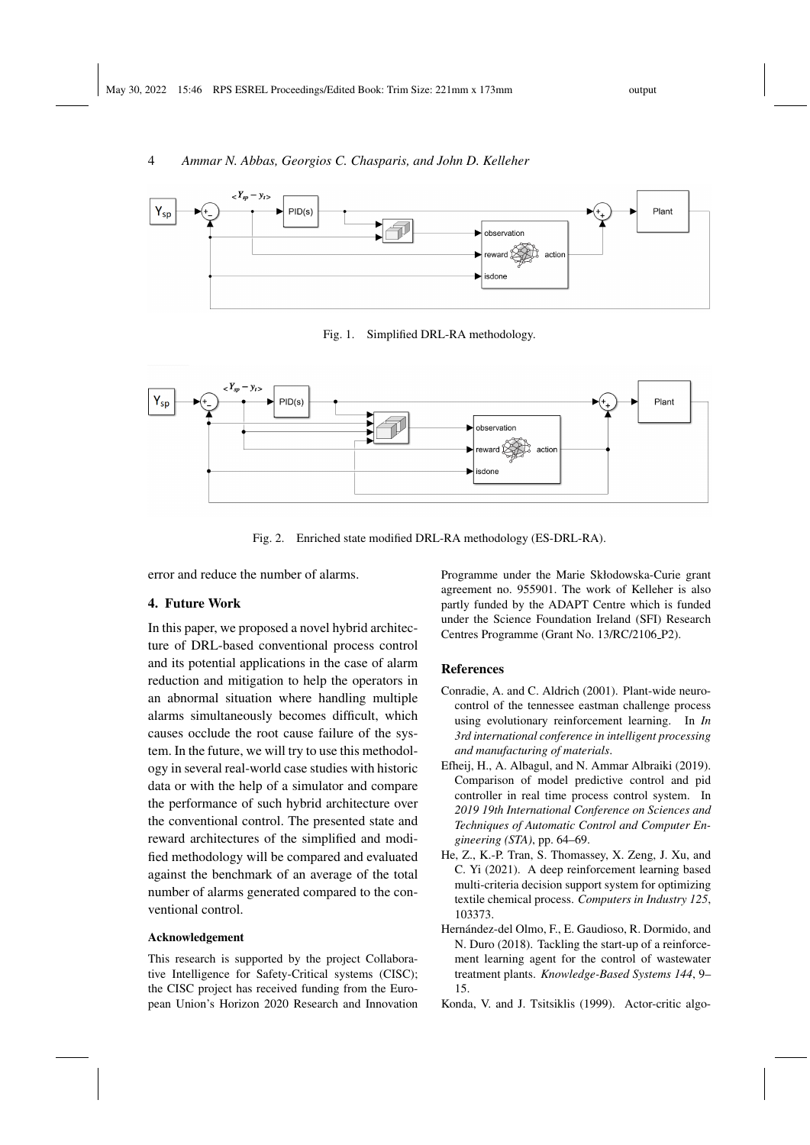#### 4 *Ammar N. Abbas, Georgios C. Chasparis, and John D. Kelleher*



<span id="page-3-5"></span>Fig. 1. Simplified DRL-RA methodology.



<span id="page-3-6"></span>Fig. 2. Enriched state modified DRL-RA methodology (ES-DRL-RA).

error and reduce the number of alarms.

#### 4. Future Work

In this paper, we proposed a novel hybrid architecture of DRL-based conventional process control and its potential applications in the case of alarm reduction and mitigation to help the operators in an abnormal situation where handling multiple alarms simultaneously becomes difficult, which causes occlude the root cause failure of the system. In the future, we will try to use this methodology in several real-world case studies with historic data or with the help of a simulator and compare the performance of such hybrid architecture over the conventional control. The presented state and reward architectures of the simplified and modified methodology will be compared and evaluated against the benchmark of an average of the total number of alarms generated compared to the conventional control.

#### Acknowledgement

This research is supported by the project Collaborative Intelligence for Safety-Critical systems (CISC); the CISC project has received funding from the European Union's Horizon 2020 Research and Innovation Programme under the Marie Skłodowska-Curie grant agreement no. 955901. The work of Kelleher is also partly funded by the ADAPT Centre which is funded under the Science Foundation Ireland (SFI) Research Centres Programme (Grant No. 13/RC/2106 P2).

#### References

- <span id="page-3-1"></span>Conradie, A. and C. Aldrich (2001). Plant-wide neurocontrol of the tennessee eastman challenge process using evolutionary reinforcement learning. In *In 3rd international conference in intelligent processing and manufacturing of materials*.
- <span id="page-3-0"></span>Efheij, H., A. Albagul, and N. Ammar Albraiki (2019). Comparison of model predictive control and pid controller in real time process control system. In *2019 19th International Conference on Sciences and Techniques of Automatic Control and Computer Engineering (STA)*, pp. 64–69.
- <span id="page-3-3"></span>He, Z., K.-P. Tran, S. Thomassey, X. Zeng, J. Xu, and C. Yi (2021). A deep reinforcement learning based multi-criteria decision support system for optimizing textile chemical process. *Computers in Industry 125*, 103373.
- <span id="page-3-4"></span>Hernández-del Olmo, F., E. Gaudioso, R. Dormido, and N. Duro (2018). Tackling the start-up of a reinforcement learning agent for the control of wastewater treatment plants. *Knowledge-Based Systems 144*, 9– 15.
- <span id="page-3-2"></span>Konda, V. and J. Tsitsiklis (1999). Actor-critic algo-